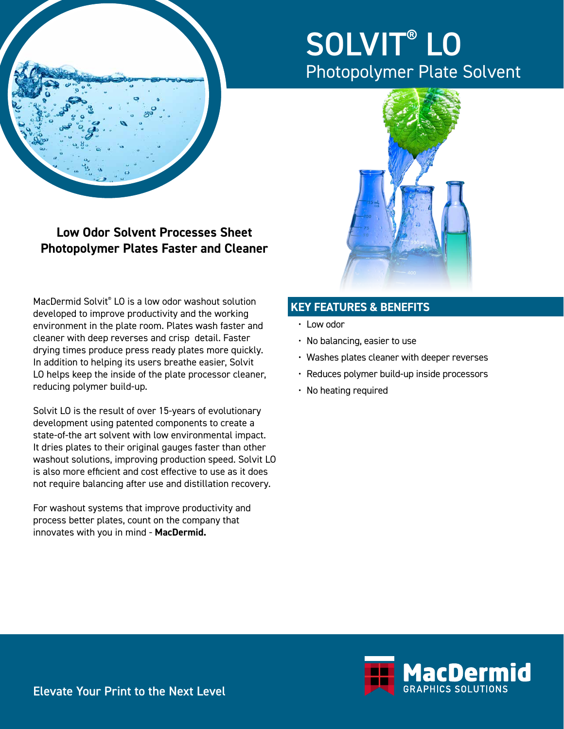

# SOLVIT® LO Photopolymer Plate Solvent



**Photopolymer Plates Faster and Cleaner**

**Low Odor Solvent Processes Sheet** 

MacDermid Solvit® LO is a low odor washout solution developed to improve productivity and the working environment in the plate room. Plates wash faster and cleaner with deep reverses and crisp detail. Faster drying times produce press ready plates more quickly. In addition to helping its users breathe easier, Solvit LO helps keep the inside of the plate processor cleaner, reducing polymer build-up.

Solvit LO is the result of over 15-years of evolutionary development using patented components to create a state-of-the art solvent with low environmental impact. It dries plates to their original gauges faster than other washout solutions, improving production speed. Solvit LO is also more efficient and cost effective to use as it does not require balancing after use and distillation recovery.

For washout systems that improve productivity and process better plates, count on the company that innovates with you in mind - **MacDermid.**

## **KEY FEATURES & BENEFITS**

- Low odor
- No balancing, easier to use
- Washes plates cleaner with deeper reverses
- Reduces polymer build-up inside processors
- No heating required



Elevate Your Print to the Next Level